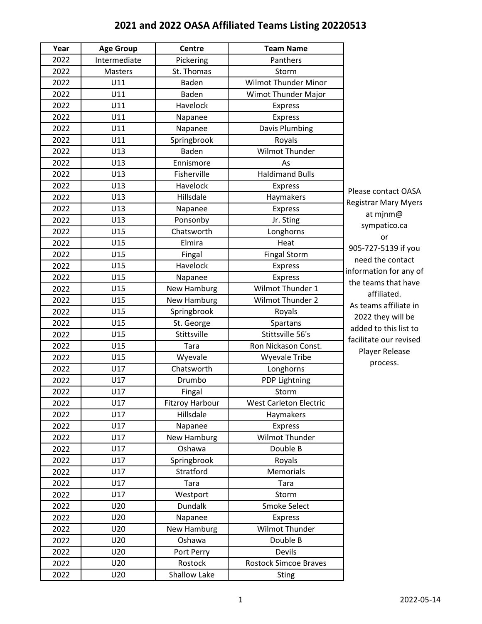## **2021 and 2022 OASA Affiliated Teams Listing 20220513**

| Year | <b>Age Group</b> | <b>Centre</b>          | <b>Team Name</b>              |                             |
|------|------------------|------------------------|-------------------------------|-----------------------------|
| 2022 | Intermediate     | Pickering              | Panthers                      |                             |
| 2022 | Masters          | St. Thomas             | Storm                         |                             |
| 2022 | U11              | Baden                  | <b>Wilmot Thunder Minor</b>   |                             |
| 2022 | U11              | Baden                  | Wimot Thunder Major           |                             |
| 2022 | U11              | Havelock               | <b>Express</b>                |                             |
| 2022 | U11              | Napanee                | <b>Express</b>                |                             |
| 2022 | U11              | Napanee                | Davis Plumbing                |                             |
| 2022 | U11              | Springbrook            | Royals                        |                             |
| 2022 | U13              | Baden                  | <b>Wilmot Thunder</b>         |                             |
| 2022 | U13              | Ennismore              | As                            |                             |
| 2022 | U13              | Fisherville            | <b>Haldimand Bulls</b>        |                             |
| 2022 | U13              | Havelock               | <b>Express</b>                | Please contact OASA         |
| 2022 | U13              | Hillsdale              | Haymakers                     | <b>Registrar Mary Myers</b> |
| 2022 | U13              | Napanee                | <b>Express</b>                | at mjnm@                    |
| 2022 | U13              | Ponsonby               | Jr. Sting                     | sympatico.ca                |
| 2022 | U15              | Chatsworth             | Longhorns                     | or                          |
| 2022 | U15              | Elmira                 | Heat                          | 905-727-5139 if you         |
| 2022 | U15              | Fingal                 | <b>Fingal Storm</b>           | need the contact            |
| 2022 | U15              | <b>Havelock</b>        | <b>Express</b>                | information for any of      |
| 2022 | U15              | Napanee                | <b>Express</b>                | the teams that have         |
| 2022 | U15              | New Hamburg            | Wilmot Thunder 1              | affiliated.                 |
| 2022 | U15              | <b>New Hamburg</b>     | Wilmot Thunder 2              | As teams affiliate in       |
| 2022 | U15              | Springbrook            | Royals                        | 2022 they will be           |
| 2022 | U15              | St. George             | Spartans                      | added to this list to       |
| 2022 | U15              | Stittsville            | Stittsville 56's              | facilitate our revised      |
| 2022 | U15              | Tara                   | Ron Nickason Const.           | Player Release              |
| 2022 | U15              | Wyevale                | <b>Wyevale Tribe</b>          | process.                    |
| 2022 | U17              | Chatsworth             | Longhorns                     |                             |
| 2022 | U17              | Drumbo                 | PDP Lightning                 |                             |
| 2022 | U17              | Fingal                 | Storm                         |                             |
| 2022 | U17              | <b>Fitzroy Harbour</b> | <b>West Carleton Electric</b> |                             |
| 2022 | U17              | Hillsdale              | Haymakers                     |                             |
| 2022 | U17              | Napanee                | Express                       |                             |
| 2022 | U17              | New Hamburg            | Wilmot Thunder                |                             |
| 2022 | U17              | Oshawa                 | Double B                      |                             |
| 2022 | U17              | Springbrook            | Royals                        |                             |
| 2022 | U17              | Stratford              | Memorials                     |                             |
| 2022 | U17              | Tara                   | Tara                          |                             |
| 2022 | U17              | Westport               | Storm                         |                             |
| 2022 | U20              | <b>Dundalk</b>         | Smoke Select                  |                             |
| 2022 | U20              | Napanee                | Express                       |                             |
| 2022 | U20              | New Hamburg            | Wilmot Thunder                |                             |
| 2022 | U20              | Oshawa                 | Double B                      |                             |
| 2022 | U20              | Port Perry             | <b>Devils</b>                 |                             |
| 2022 | U20              | Rostock                | <b>Rostock Simcoe Braves</b>  |                             |
| 2022 | U20              | Shallow Lake           | <b>Sting</b>                  |                             |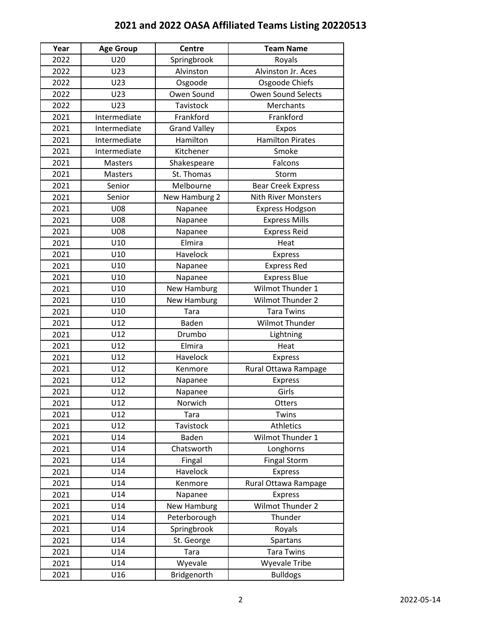## **2021 and 2022 OASA Affiliated Teams Listing 20220513**

| Year | <b>Age Group</b> | <b>Centre</b>       | <b>Team Name</b>           |
|------|------------------|---------------------|----------------------------|
| 2022 | U20              | Springbrook         | Royals                     |
| 2022 | U23              | Alvinston           | Alvinston Jr. Aces         |
| 2022 | U23              | Osgoode             | Osgoode Chiefs             |
| 2022 | U23              | Owen Sound          | <b>Owen Sound Selects</b>  |
| 2022 | U23              | Tavistock           | Merchants                  |
| 2021 | Intermediate     | Frankford           | Frankford                  |
| 2021 | Intermediate     | <b>Grand Valley</b> | Expos                      |
| 2021 | Intermediate     | Hamilton            | <b>Hamilton Pirates</b>    |
| 2021 | Intermediate     | Kitchener           | Smoke                      |
| 2021 | Masters          | Shakespeare         | Falcons                    |
| 2021 | Masters          | St. Thomas          | Storm                      |
| 2021 | Senior           | Melbourne           | <b>Bear Creek Express</b>  |
| 2021 | Senior           | New Hamburg 2       | <b>Nith River Monsters</b> |
| 2021 | <b>U08</b>       | Napanee             | <b>Express Hodgson</b>     |
| 2021 | U08              | Napanee             | <b>Express Mills</b>       |
| 2021 | <b>U08</b>       | Napanee             | <b>Express Reid</b>        |
| 2021 | U10              | Elmira              | Heat                       |
| 2021 | U10              | Havelock            | <b>Express</b>             |
| 2021 | U10              | Napanee             | <b>Express Red</b>         |
| 2021 | U10              | Napanee             | <b>Express Blue</b>        |
| 2021 | U10              | New Hamburg         | Wilmot Thunder 1           |
| 2021 | U10              | <b>New Hamburg</b>  | Wilmot Thunder 2           |
| 2021 | U10              | Tara                | <b>Tara Twins</b>          |
| 2021 | U12              | Baden               | <b>Wilmot Thunder</b>      |
| 2021 | U12              | Drumbo              | Lightning                  |
| 2021 | U12              | Elmira              | Heat                       |
| 2021 | U12              | Havelock            | <b>Express</b>             |
| 2021 | U12              | Kenmore             | Rural Ottawa Rampage       |
| 2021 | U12              | Napanee             | <b>Express</b>             |
| 2021 | U12              | Napanee             | Girls                      |
| 2021 | U12              | Norwich             | Otters                     |
| 2021 | U12              | Tara                | Twins                      |
| 2021 | U12              | Tavistock           | Athletics                  |
| 2021 | U14              | Baden               | Wilmot Thunder 1           |
| 2021 | U14              | Chatsworth          | Longhorns                  |
| 2021 | U14              | Fingal              | <b>Fingal Storm</b>        |
| 2021 | U14              | Havelock            | <b>Express</b>             |
| 2021 | U14              | Kenmore             | Rural Ottawa Rampage       |
| 2021 | U14              | Napanee             | <b>Express</b>             |
| 2021 | U14              | <b>New Hamburg</b>  | Wilmot Thunder 2           |
| 2021 | U14              | Peterborough        | Thunder                    |
| 2021 | U14              | Springbrook         | Royals                     |
| 2021 | U14              | St. George          | Spartans                   |
| 2021 | U14              | Tara                | <b>Tara Twins</b>          |
| 2021 | U14              | Wyevale             | <b>Wyevale Tribe</b>       |
| 2021 | U16              | Bridgenorth         | <b>Bulldogs</b>            |